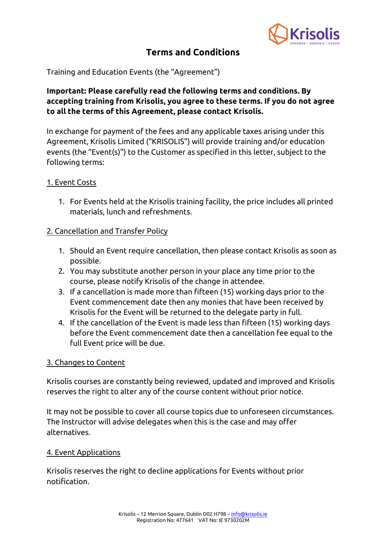

# **Terms and Conditions**

Training and Education Events (the "Agreement")

# **Important: Please carefully read the following terms and conditions. By accepting training from Krisolis, you agree to these terms. If you do not agree to all the terms of this Agreement, please contact Krisolis.**

In exchange for payment of the fees and any applicable taxes arising under this Agreement, Krisolis Limited ("KRISOLIS") will provide training and/or education events (the "Event(s)") to the Customer as specified in this letter, subject to the following terms:

### 1. Event Costs

1. For Events held at the Krisolis training facility, the price includes all printed materials, lunch and refreshments.

# 2. Cancellation and Transfer Policy

- 1. Should an Event require cancellation, then please contact Krisolis as soon as possible.
- 2. You may substitute another person in your place any time prior to the course, please notify Krisolis of the change in attendee.
- 3. If a cancellation is made more than fifteen (15) working days prior to the Event commencement date then any monies that have been received by Krisolis for the Event will be returned to the delegate party in full.
- 4. If the cancellation of the Event is made less than fifteen (15) working days before the Event commencement date then a cancellation fee equal to the full Event price will be due.

#### 3. Changes to Content

Krisolis courses are constantly being reviewed, updated and improved and Krisolis reserves the right to alter any of the course content without prior notice.

It may not be possible to cover all course topics due to unforeseen circumstances. The Instructor will advise delegates when this is the case and may offer alternatives.

#### 4. Event Applications

Krisolis reserves the right to decline applications for Events without prior notification.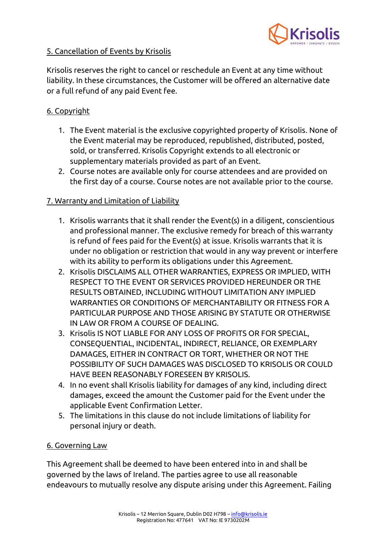

# 5. Cancellation of Events by Krisolis

Krisolis reserves the right to cancel or reschedule an Event at any time without liability. In these circumstances, the Customer will be offered an alternative date or a full refund of any paid Event fee.

# 6. Copyright

- 1. The Event material is the exclusive copyrighted property of Krisolis. None of the Event material may be reproduced, republished, distributed, posted, sold, or transferred. Krisolis Copyright extends to all electronic or supplementary materials provided as part of an Event.
- 2. Course notes are available only for course attendees and are provided on the first day of a course. Course notes are not available prior to the course.

# 7. Warranty and Limitation of Liability

- 1. Krisolis warrants that it shall render the Event(s) in a diligent, conscientious and professional manner. The exclusive remedy for breach of this warranty is refund of fees paid for the Event(s) at issue. Krisolis warrants that it is under no obligation or restriction that would in any way prevent or interfere with its ability to perform its obligations under this Agreement.
- 2. Krisolis DISCLAIMS ALL OTHER WARRANTIES, EXPRESS OR IMPLIED, WITH RESPECT TO THE EVENT OR SERVICES PROVIDED HEREUNDER OR THE RESULTS OBTAINED, INCLUDING WITHOUT LIMITATION ANY IMPLIED WARRANTIES OR CONDITIONS OF MERCHANTABILITY OR FITNESS FOR A PARTICULAR PURPOSE AND THOSE ARISING BY STATUTE OR OTHERWISE IN LAW OR FROM A COURSE OF DEALING.
- 3. Krisolis IS NOT LIABLE FOR ANY LOSS OF PROFITS OR FOR SPECIAL, CONSEQUENTIAL, INCIDENTAL, INDIRECT, RELIANCE, OR EXEMPLARY DAMAGES, EITHER IN CONTRACT OR TORT, WHETHER OR NOT THE POSSIBILITY OF SUCH DAMAGES WAS DISCLOSED TO KRISOLIS OR COULD HAVE BEEN REASONABLY FORESEEN BY KRISOLIS.
- 4. In no event shall Krisolis liability for damages of any kind, including direct damages, exceed the amount the Customer paid for the Event under the applicable Event Confirmation Letter.
- 5. The limitations in this clause do not include limitations of liability for personal injury or death.

# 6. Governing Law

This Agreement shall be deemed to have been entered into in and shall be governed by the laws of Ireland. The parties agree to use all reasonable endeavours to mutually resolve any dispute arising under this Agreement. Failing